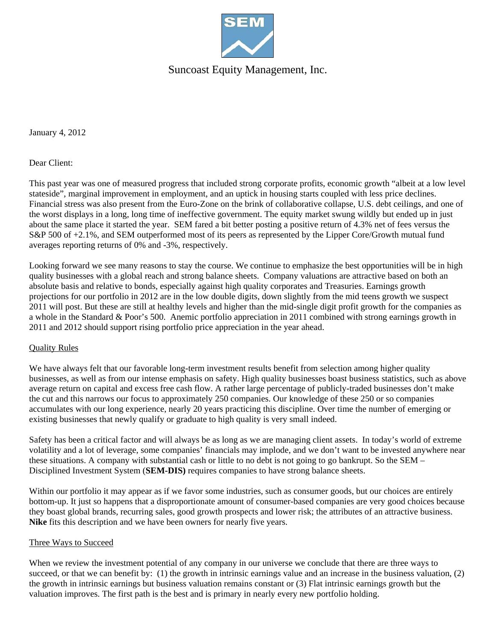

## Suncoast Equity Management, Inc.

January 4, 2012

Dear Client:

This past year was one of measured progress that included strong corporate profits, economic growth "albeit at a low level stateside", marginal improvement in employment, and an uptick in housing starts coupled with less price declines. Financial stress was also present from the Euro-Zone on the brink of collaborative collapse, U.S. debt ceilings, and one of the worst displays in a long, long time of ineffective government. The equity market swung wildly but ended up in just about the same place it started the year. SEM fared a bit better posting a positive return of 4.3% net of fees versus the S&P 500 of +2.1%, and SEM outperformed most of its peers as represented by the Lipper Core/Growth mutual fund averages reporting returns of 0% and -3%, respectively.

Looking forward we see many reasons to stay the course. We continue to emphasize the best opportunities will be in high quality businesses with a global reach and strong balance sheets. Company valuations are attractive based on both an absolute basis and relative to bonds, especially against high quality corporates and Treasuries. Earnings growth projections for our portfolio in 2012 are in the low double digits, down slightly from the mid teens growth we suspect 2011 will post. But these are still at healthy levels and higher than the mid-single digit profit growth for the companies as a whole in the Standard & Poor's 500. Anemic portfolio appreciation in 2011 combined with strong earnings growth in 2011 and 2012 should support rising portfolio price appreciation in the year ahead.

### Quality Rules

We have always felt that our favorable long-term investment results benefit from selection among higher quality businesses, as well as from our intense emphasis on safety. High quality businesses boast business statistics, such as above average return on capital and excess free cash flow. A rather large percentage of publicly-traded businesses don't make the cut and this narrows our focus to approximately 250 companies. Our knowledge of these 250 or so companies accumulates with our long experience, nearly 20 years practicing this discipline. Over time the number of emerging or existing businesses that newly qualify or graduate to high quality is very small indeed.

Safety has been a critical factor and will always be as long as we are managing client assets. In today's world of extreme volatility and a lot of leverage, some companies' financials may implode, and we don't want to be invested anywhere near these situations. A company with substantial cash or little to no debt is not going to go bankrupt. So the SEM – Disciplined Investment System (**SEM-DIS)** requires companies to have strong balance sheets.

Within our portfolio it may appear as if we favor some industries, such as consumer goods, but our choices are entirely bottom-up. It just so happens that a disproportionate amount of consumer-based companies are very good choices because they boast global brands, recurring sales, good growth prospects and lower risk; the attributes of an attractive business. **Nike** fits this description and we have been owners for nearly five years.

#### Three Ways to Succeed

When we review the investment potential of any company in our universe we conclude that there are three ways to succeed, or that we can benefit by: (1) the growth in intrinsic earnings value and an increase in the business valuation, (2) the growth in intrinsic earnings but business valuation remains constant or (3) Flat intrinsic earnings growth but the valuation improves. The first path is the best and is primary in nearly every new portfolio holding.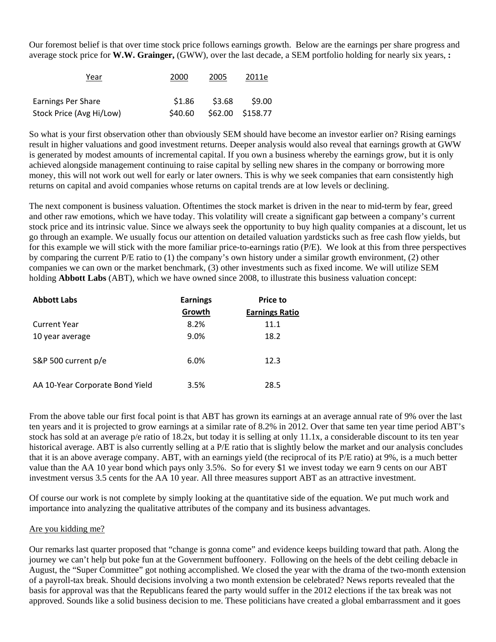Our foremost belief is that over time stock price follows earnings growth. Below are the earnings per share progress and average stock price for **W.W. Grainger,** (GWW), over the last decade, a SEM portfolio holding for nearly six years, **:** 

| Year                     | 2000    | 2005   | 2011e            |  |
|--------------------------|---------|--------|------------------|--|
| Earnings Per Share       | \$1.86  | \$3.68 | \$9.00           |  |
| Stock Price (Avg Hi/Low) | \$40.60 |        | \$62.00 \$158.77 |  |

So what is your first observation other than obviously SEM should have become an investor earlier on? Rising earnings result in higher valuations and good investment returns. Deeper analysis would also reveal that earnings growth at GWW is generated by modest amounts of incremental capital. If you own a business whereby the earnings grow, but it is only achieved alongside management continuing to raise capital by selling new shares in the company or borrowing more money, this will not work out well for early or later owners. This is why we seek companies that earn consistently high returns on capital and avoid companies whose returns on capital trends are at low levels or declining.

The next component is business valuation. Oftentimes the stock market is driven in the near to mid-term by fear, greed and other raw emotions, which we have today. This volatility will create a significant gap between a company's current stock price and its intrinsic value. Since we always seek the opportunity to buy high quality companies at a discount, let us go through an example. We usually focus our attention on detailed valuation yardsticks such as free cash flow yields, but for this example we will stick with the more familiar price-to-earnings ratio (P/E). We look at this from three perspectives by comparing the current P/E ratio to (1) the company's own history under a similar growth environment, (2) other companies we can own or the market benchmark, (3) other investments such as fixed income. We will utilize SEM holding **Abbott Labs** (ABT), which we have owned since 2008, to illustrate this business valuation concept:

| <b>Abbott Labs</b>              | <b>Earnings</b> | <b>Price to</b>       |  |
|---------------------------------|-----------------|-----------------------|--|
|                                 | Growth          | <b>Earnings Ratio</b> |  |
| <b>Current Year</b>             | 8.2%            | 11.1                  |  |
| 10 year average                 | 9.0%            | 18.2                  |  |
| S&P 500 current p/e             | 6.0%            | 12.3                  |  |
| AA 10-Year Corporate Bond Yield | 3.5%            | 28.5                  |  |

From the above table our first focal point is that ABT has grown its earnings at an average annual rate of 9% over the last ten years and it is projected to grow earnings at a similar rate of 8.2% in 2012. Over that same ten year time period ABT's stock has sold at an average p/e ratio of 18.2x, but today it is selling at only 11.1x, a considerable discount to its ten year historical average. ABT is also currently selling at a P/E ratio that is slightly below the market and our analysis concludes that it is an above average company. ABT, with an earnings yield (the reciprocal of its P/E ratio) at 9%, is a much better value than the AA 10 year bond which pays only 3.5%. So for every \$1 we invest today we earn 9 cents on our ABT investment versus 3.5 cents for the AA 10 year. All three measures support ABT as an attractive investment.

Of course our work is not complete by simply looking at the quantitative side of the equation. We put much work and importance into analyzing the qualitative attributes of the company and its business advantages.

### Are you kidding me?

Our remarks last quarter proposed that "change is gonna come" and evidence keeps building toward that path. Along the journey we can't help but poke fun at the Government buffoonery. Following on the heels of the debt ceiling debacle in August, the "Super Committee" got nothing accomplished. We closed the year with the drama of the two-month extension of a payroll-tax break. Should decisions involving a two month extension be celebrated? News reports revealed that the basis for approval was that the Republicans feared the party would suffer in the 2012 elections if the tax break was not approved. Sounds like a solid business decision to me. These politicians have created a global embarrassment and it goes